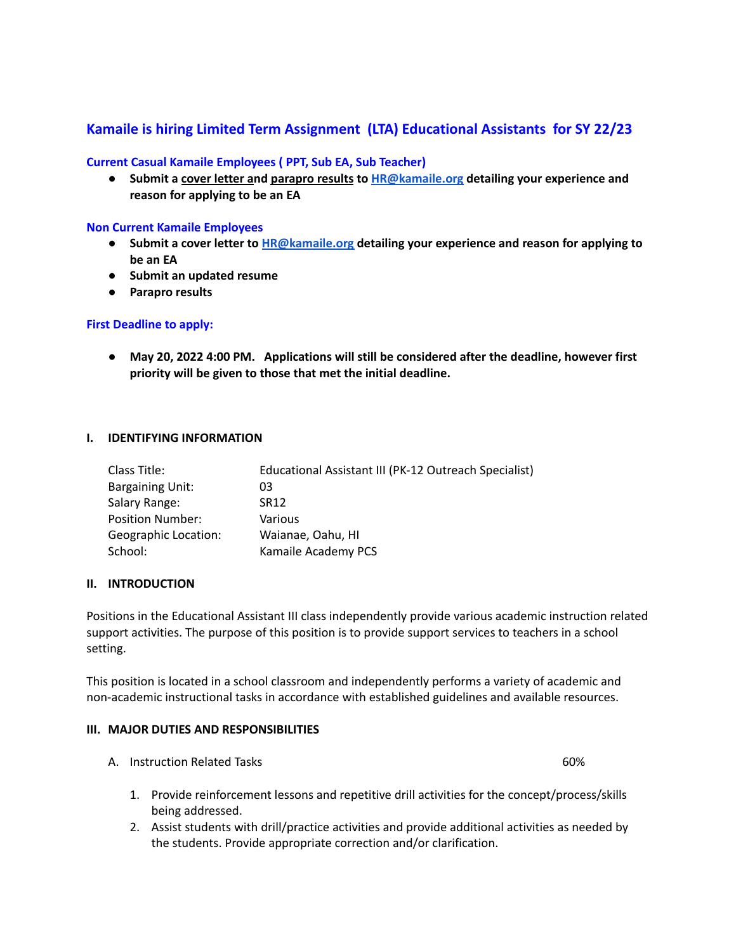## **Kamaile is hiring Limited Term Assignment (LTA) Educational Assistants for SY 22/23**

## **Current Casual Kamaile Employees ( PPT, Sub EA, Sub Teacher)**

**● Submit a cover letter and parapro results to [HR@kamaile.org](mailto:HR@kamaile.org) detailing your experience and reason for applying to be an EA**

#### **Non Current Kamaile Employees**

- **● Submit a cover letter to [HR@kamaile.org](mailto:HR@kamaile.org) detailing your experience and reason for applying to be an EA**
- **● Submit an updated resume**
- **● Parapro results**

## **First Deadline to apply:**

**● May 20, 2022 4:00 PM. Applications will still be considered after the deadline, however first priority will be given to those that met the initial deadline.**

#### **I. IDENTIFYING INFORMATION**

| Class Title:                | Educational Assistant III (PK-12 Outreach Specialist) |
|-----------------------------|-------------------------------------------------------|
| <b>Bargaining Unit:</b>     | 03                                                    |
| Salary Range:               | SR12                                                  |
| <b>Position Number:</b>     | Various                                               |
| <b>Geographic Location:</b> | Waianae, Oahu, HI                                     |
| School:                     | Kamaile Academy PCS                                   |

#### **II. INTRODUCTION**

Positions in the Educational Assistant III class independently provide various academic instruction related support activities. The purpose of this position is to provide support services to teachers in a school setting.

This position is located in a school classroom and independently performs a variety of academic and non-academic instructional tasks in accordance with established guidelines and available resources.

## **III. MAJOR DUTIES AND RESPONSIBILITIES**

A. Instruction Related Tasks 60%

- 1. Provide reinforcement lessons and repetitive drill activities for the concept/process/skills being addressed.
- 2. Assist students with drill/practice activities and provide additional activities as needed by the students. Provide appropriate correction and/or clarification.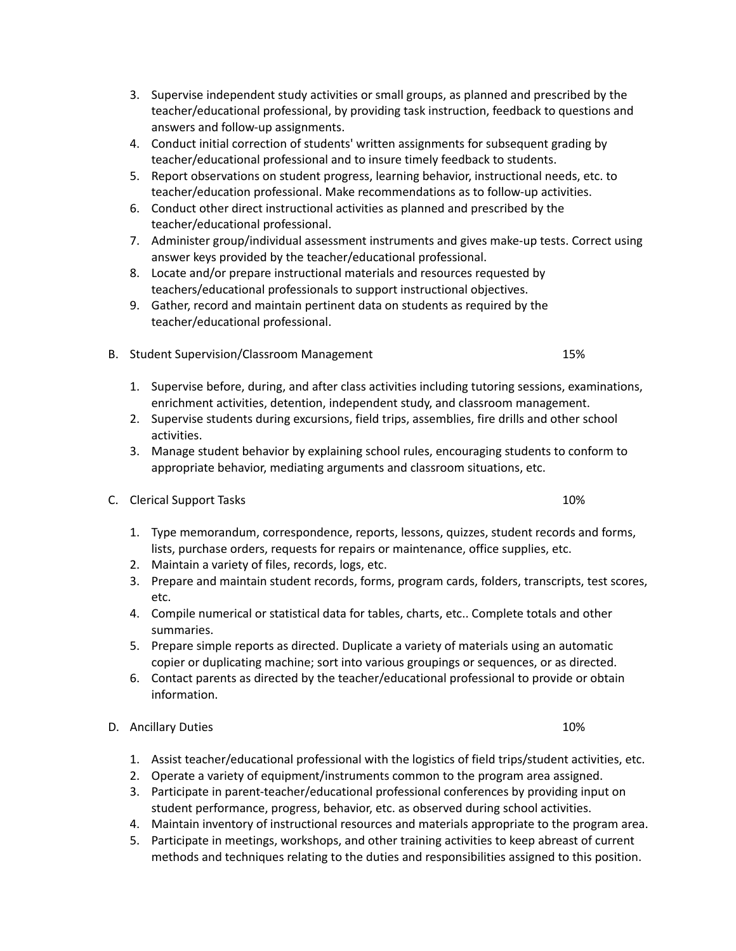- 3. Supervise independent study activities or small groups, as planned and prescribed by the teacher/educational professional, by providing task instruction, feedback to questions and answers and follow-up assignments.
- 4. Conduct initial correction of students' written assignments for subsequent grading by teacher/educational professional and to insure timely feedback to students.
- 5. Report observations on student progress, learning behavior, instructional needs, etc. to teacher/education professional. Make recommendations as to follow-up activities.
- 6. Conduct other direct instructional activities as planned and prescribed by the teacher/educational professional.
- 7. Administer group/individual assessment instruments and gives make-up tests. Correct using answer keys provided by the teacher/educational professional.
- 8. Locate and/or prepare instructional materials and resources requested by teachers/educational professionals to support instructional objectives.
- 9. Gather, record and maintain pertinent data on students as required by the teacher/educational professional.
- B. Student Supervision/Classroom Management 15%
	- 1. Supervise before, during, and after class activities including tutoring sessions, examinations, enrichment activities, detention, independent study, and classroom management.
	- 2. Supervise students during excursions, field trips, assemblies, fire drills and other school activities.
	- 3. Manage student behavior by explaining school rules, encouraging students to conform to appropriate behavior, mediating arguments and classroom situations, etc.
- C. Clerical Support Tasks 10%
	- 1. Type memorandum, correspondence, reports, lessons, quizzes, student records and forms, lists, purchase orders, requests for repairs or maintenance, office supplies, etc.
	- 2. Maintain a variety of files, records, logs, etc.
	- 3. Prepare and maintain student records, forms, program cards, folders, transcripts, test scores, etc.
	- 4. Compile numerical or statistical data for tables, charts, etc.. Complete totals and other summaries.
	- 5. Prepare simple reports as directed. Duplicate a variety of materials using an automatic copier or duplicating machine; sort into various groupings or sequences, or as directed.
	- 6. Contact parents as directed by the teacher/educational professional to provide or obtain information.
- D. Ancillary Duties 10% and the state of the state 10% and the state 10% and the state 10% and the state 10% and the state 10% and the state 10% and the state 10% and the state 10% and the state 10% and the state 10% and t
	- 1. Assist teacher/educational professional with the logistics of field trips/student activities, etc.
	- 2. Operate a variety of equipment/instruments common to the program area assigned.
	- 3. Participate in parent-teacher/educational professional conferences by providing input on student performance, progress, behavior, etc. as observed during school activities.
	- 4. Maintain inventory of instructional resources and materials appropriate to the program area.
	- 5. Participate in meetings, workshops, and other training activities to keep abreast of current methods and techniques relating to the duties and responsibilities assigned to this position.